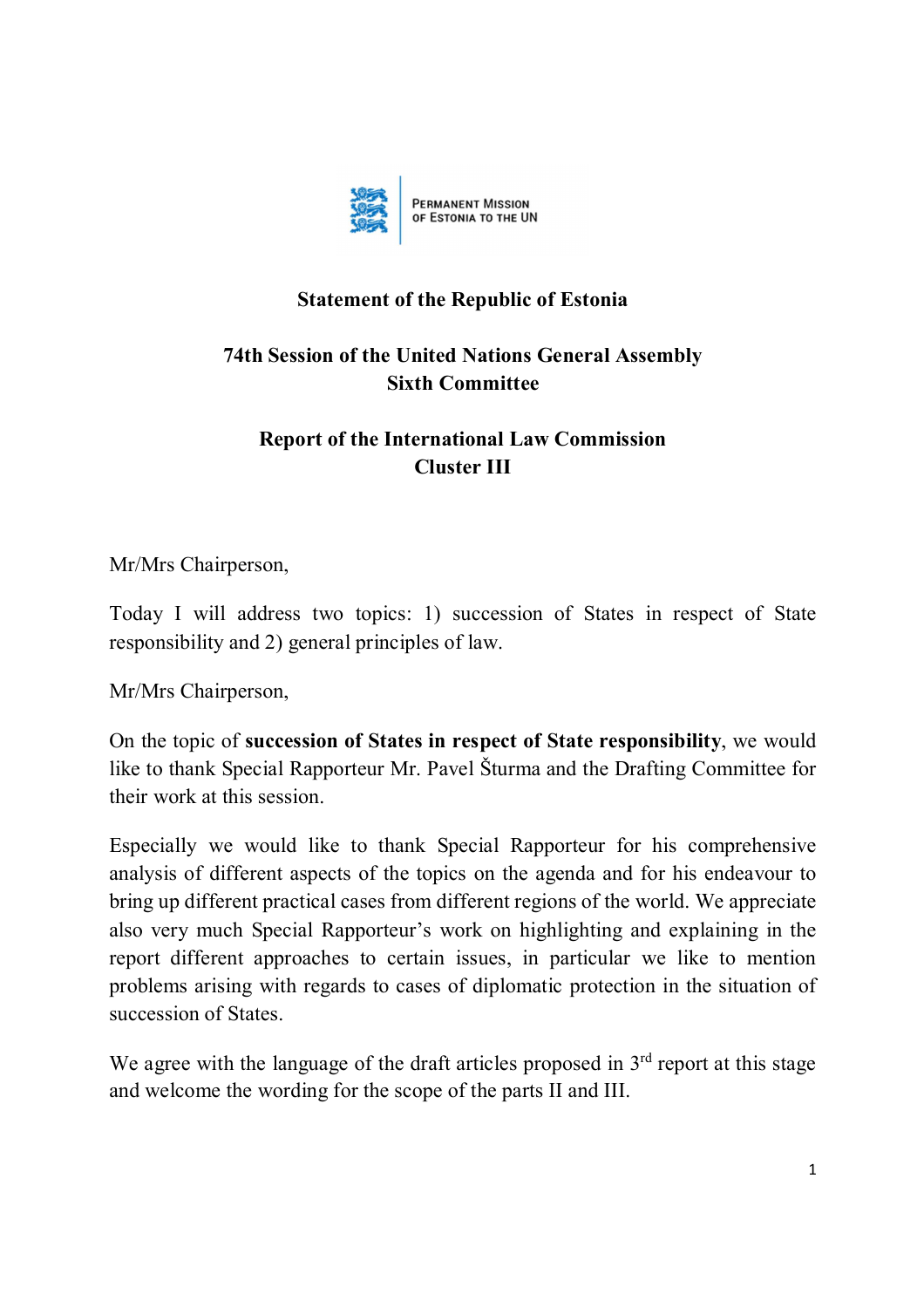

## **Statement of the Republic of Estonia**

## **74th Session of the United Nations General Assembly Sixth Committee**

## **Report of the International Law Commission Cluster III**

Mr/Mrs Chairperson,

Today I will address two topics: 1) succession of States in respect of State responsibility and 2) general principles of law.

Mr/Mrs Chairperson,

On the topic of **succession of States in respect of State responsibility**, we would like to thank Special Rapporteur Mr. Pavel Šturma and the Drafting Committee for their work at this session.

Especially we would like to thank Special Rapporteur for his comprehensive analysis of different aspects of the topics on the agenda and for his endeavour to bring up different practical cases from different regions of the world. We appreciate also very much Special Rapporteur's work on highlighting and explaining in the report different approaches to certain issues, in particular we like to mention problems arising with regards to cases of diplomatic protection in the situation of succession of States.

We agree with the language of the draft articles proposed in  $3<sup>rd</sup>$  report at this stage and welcome the wording for the scope of the parts II and III.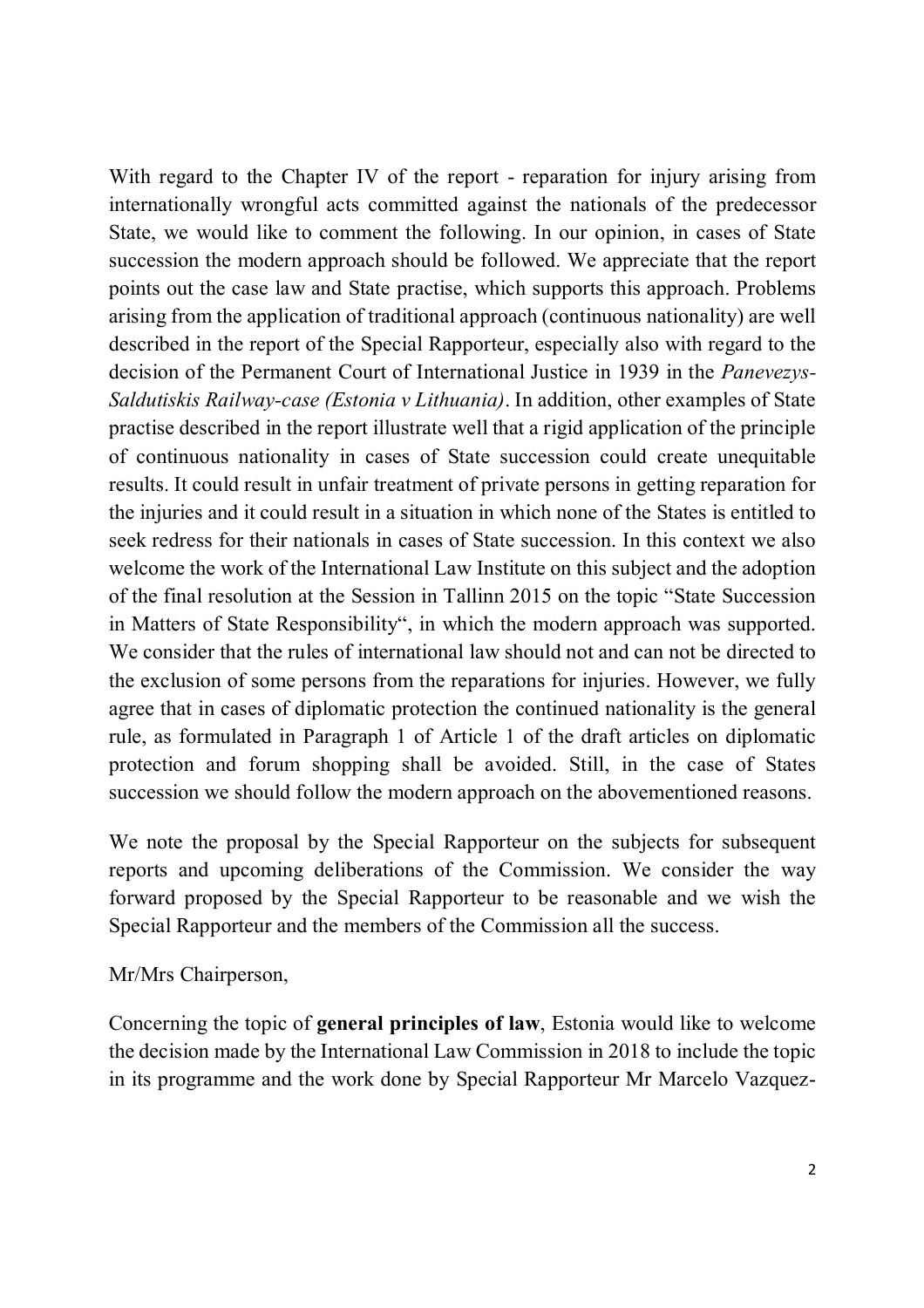With regard to the Chapter IV of the report - reparation for injury arising from internationally wrongful acts committed against the nationals of the predecessor State, we would like to comment the following. In our opinion, in cases of State succession the modern approach should be followed. We appreciate that the report points out the case law and State practise, which supports this approach. Problems arising from the application of traditional approach (continuous nationality) are well described in the report of the Special Rapporteur, especially also with regard to the decision of the Permanent Court of International Justice in 1939 in the *Panevezys-Saldutiskis Railway-case (Estonia v Lithuania)*. In addition, other examples of State practise described in the report illustrate well that a rigid application of the principle of continuous nationality in cases of State succession could create unequitable results. It could result in unfair treatment of private persons in getting reparation for the injuries and it could result in a situation in which none of the States is entitled to seek redress for their nationals in cases of State succession. In this context we also welcome the work of the International Law Institute on this subject and the adoption of the final resolution at the Session in Tallinn 2015 on the topic "State Succession in Matters of State Responsibility", in which the modern approach was supported. We consider that the rules of international law should not and can not be directed to the exclusion of some persons from the reparations for injuries. However, we fully agree that in cases of diplomatic protection the continued nationality is the general rule, as formulated in Paragraph 1 of Article 1 of the draft articles on diplomatic protection and forum shopping shall be avoided. Still, in the case of States succession we should follow the modern approach on the abovementioned reasons.

We note the proposal by the Special Rapporteur on the subjects for subsequent reports and upcoming deliberations of the Commission. We consider the way forward proposed by the Special Rapporteur to be reasonable and we wish the Special Rapporteur and the members of the Commission all the success.

Mr/Mrs Chairperson,

Concerning the topic of **general principles of law**, Estonia would like to welcome the decision made by the International Law Commission in 2018 to include the topic in its programme and the work done by Special Rapporteur Mr Marcelo Vazquez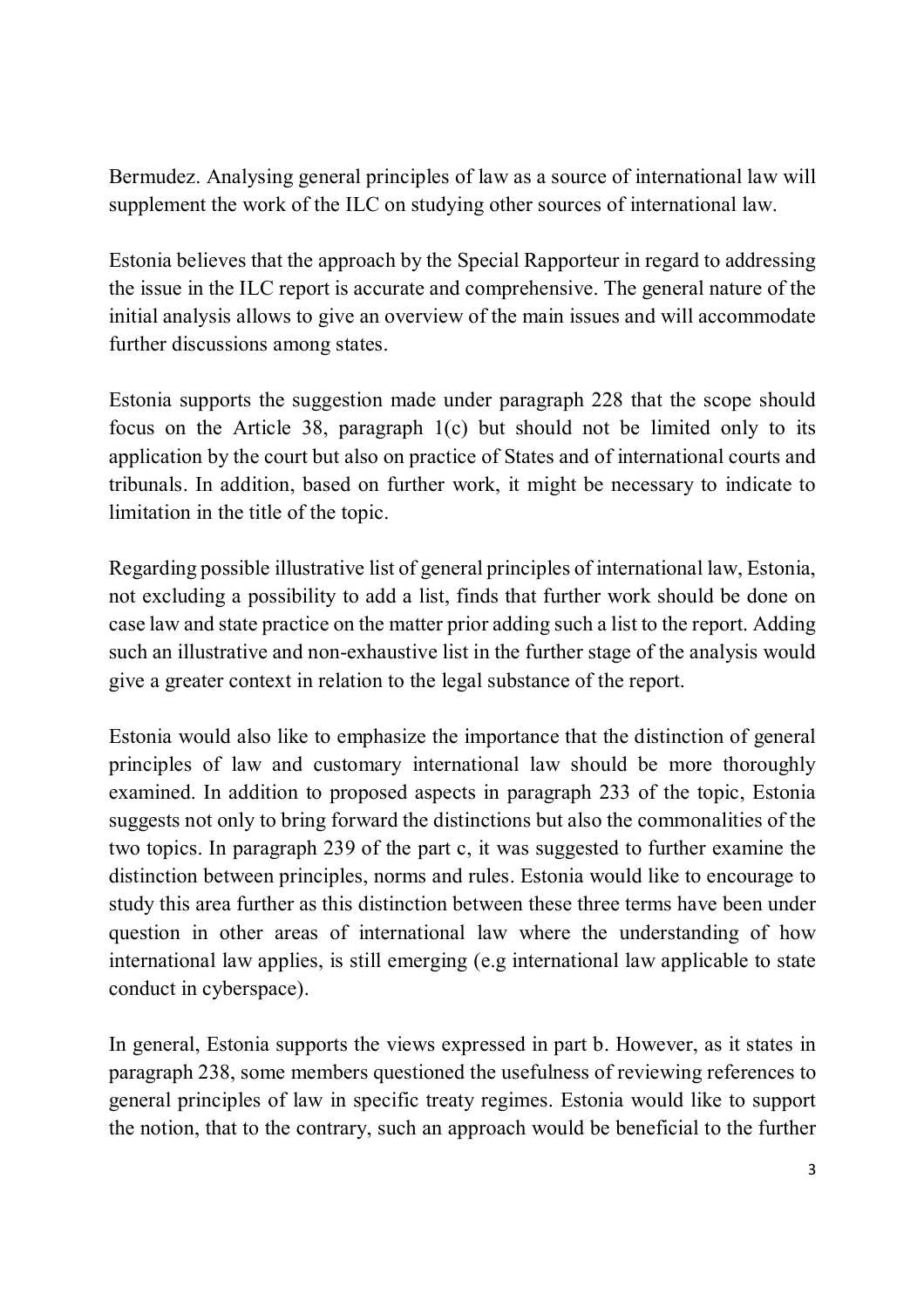Bermudez. Analysing general principles of law as a source of international law will supplement the work of the ILC on studying other sources of international law.

Estonia believes that the approach by the Special Rapporteur in regard to addressing the issue in the ILC report is accurate and comprehensive. The general nature of the initial analysis allows to give an overview of the main issues and will accommodate further discussions among states.

Estonia supports the suggestion made under paragraph 228 that the scope should focus on the Article 38, paragraph 1(c) but should not be limited only to its application by the court but also on practice of States and of international courts and tribunals. In addition, based on further work, it might be necessary to indicate to limitation in the title of the topic.

Regarding possible illustrative list of general principles of international law, Estonia, not excluding a possibility to add a list, finds that further work should be done on case law and state practice on the matter prior adding such a list to the report. Adding such an illustrative and non-exhaustive list in the further stage of the analysis would give a greater context in relation to the legal substance of the report.

Estonia would also like to emphasize the importance that the distinction of general principles of law and customary international law should be more thoroughly examined. In addition to proposed aspects in paragraph 233 of the topic, Estonia suggests not only to bring forward the distinctions but also the commonalities of the two topics. In paragraph 239 of the part c, it was suggested to further examine the distinction between principles, norms and rules. Estonia would like to encourage to study this area further as this distinction between these three terms have been under question in other areas of international law where the understanding of how international law applies, is still emerging (e.g international law applicable to state conduct in cyberspace).

In general, Estonia supports the views expressed in part b. However, as it states in paragraph 238, some members questioned the usefulness of reviewing references to general principles of law in specific treaty regimes. Estonia would like to support the notion, that to the contrary, such an approach would be beneficial to the further